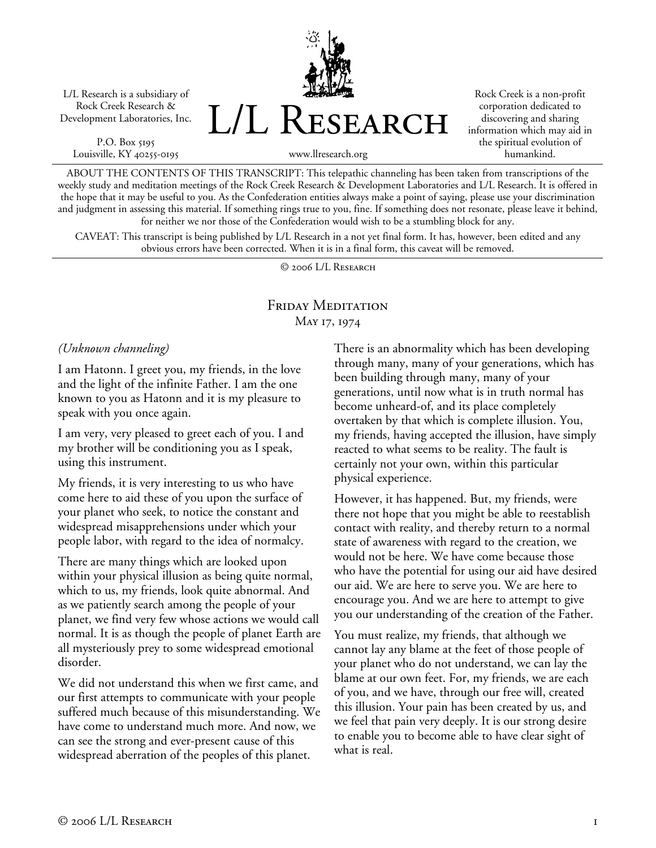L/L Research is a subsidiary of Rock Creek Research & Development Laboratories, Inc.

P.O. Box 5195 Louisville, KY 40255-0195 L/L Research

Rock Creek is a non-profit corporation dedicated to discovering and sharing information which may aid in the spiritual evolution of humankind.

www.llresearch.org

ABOUT THE CONTENTS OF THIS TRANSCRIPT: This telepathic channeling has been taken from transcriptions of the weekly study and meditation meetings of the Rock Creek Research & Development Laboratories and L/L Research. It is offered in the hope that it may be useful to you. As the Confederation entities always make a point of saying, please use your discrimination and judgment in assessing this material. If something rings true to you, fine. If something does not resonate, please leave it behind, for neither we nor those of the Confederation would wish to be a stumbling block for any.

CAVEAT: This transcript is being published by L/L Research in a not yet final form. It has, however, been edited and any obvious errors have been corrected. When it is in a final form, this caveat will be removed.

© 2006 L/L Research

## Friday Meditation May 17, 1974

## *(Unknown channeling)*

I am Hatonn. I greet you, my friends, in the love and the light of the infinite Father. I am the one known to you as Hatonn and it is my pleasure to speak with you once again.

I am very, very pleased to greet each of you. I and my brother will be conditioning you as I speak, using this instrument.

My friends, it is very interesting to us who have come here to aid these of you upon the surface of your planet who seek, to notice the constant and widespread misapprehensions under which your people labor, with regard to the idea of normalcy.

There are many things which are looked upon within your physical illusion as being quite normal, which to us, my friends, look quite abnormal. And as we patiently search among the people of your planet, we find very few whose actions we would call normal. It is as though the people of planet Earth are all mysteriously prey to some widespread emotional disorder.

We did not understand this when we first came, and our first attempts to communicate with your people suffered much because of this misunderstanding. We have come to understand much more. And now, we can see the strong and ever-present cause of this widespread aberration of the peoples of this planet.

There is an abnormality which has been developing through many, many of your generations, which has been building through many, many of your generations, until now what is in truth normal has become unheard-of, and its place completely overtaken by that which is complete illusion. You, my friends, having accepted the illusion, have simply reacted to what seems to be reality. The fault is certainly not your own, within this particular physical experience.

However, it has happened. But, my friends, were there not hope that you might be able to reestablish contact with reality, and thereby return to a normal state of awareness with regard to the creation, we would not be here. We have come because those who have the potential for using our aid have desired our aid. We are here to serve you. We are here to encourage you. And we are here to attempt to give you our understanding of the creation of the Father.

You must realize, my friends, that although we cannot lay any blame at the feet of those people of your planet who do not understand, we can lay the blame at our own feet. For, my friends, we are each of you, and we have, through our free will, created this illusion. Your pain has been created by us, and we feel that pain very deeply. It is our strong desire to enable you to become able to have clear sight of what is real.